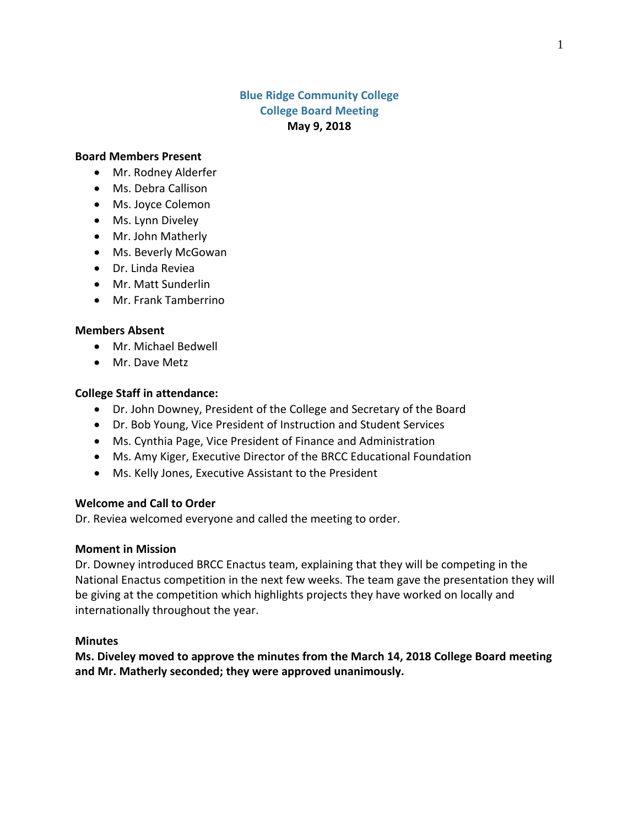### **Blue Ridge Community College College Board Meeting May 9, 2018**

#### **Board Members Present**

- Mr. Rodney Alderfer
- Ms. Debra Callison
- Ms. Joyce Colemon
- Ms. Lynn Diveley
- Mr. John Matherly
- Ms. Beverly McGowan
- Dr. Linda Reviea
- Mr. Matt Sunderlin
- Mr. Frank Tamberrino

#### **Members Absent**

- Mr. Michael Bedwell
- Mr. Dave Metz

#### **College Staff in attendance:**

- Dr. John Downey, President of the College and Secretary of the Board
- Dr. Bob Young, Vice President of Instruction and Student Services
- Ms. Cynthia Page, Vice President of Finance and Administration
- Ms. Amy Kiger, Executive Director of the BRCC Educational Foundation
- Ms. Kelly Jones, Executive Assistant to the President

#### **Welcome and Call to Order**

Dr. Reviea welcomed everyone and called the meeting to order.

#### **Moment in Mission**

Dr. Downey introduced BRCC Enactus team, explaining that they will be competing in the National Enactus competition in the next few weeks. The team gave the presentation they will be giving at the competition which highlights projects they have worked on locally and internationally throughout the year.

#### **Minutes**

**Ms. Diveley moved to approve the minutes from the March 14, 2018 College Board meeting and Mr. Matherly seconded; they were approved unanimously.**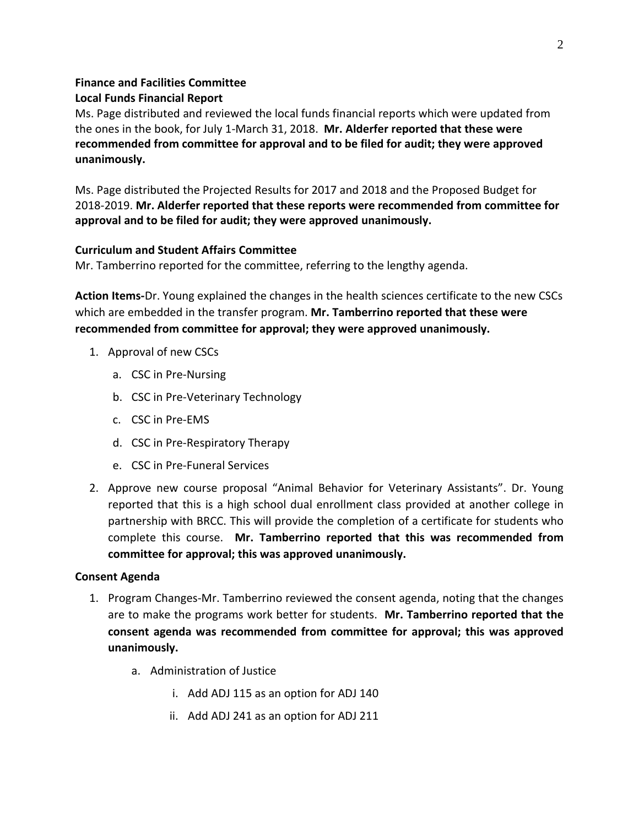# **Finance and Facilities Committee**

### **Local Funds Financial Report**

Ms. Page distributed and reviewed the local funds financial reports which were updated from the ones in the book, for July 1-March 31, 2018. **Mr. Alderfer reported that these were recommended from committee for approval and to be filed for audit; they were approved unanimously.**

Ms. Page distributed the Projected Results for 2017 and 2018 and the Proposed Budget for 2018-2019. **Mr. Alderfer reported that these reports were recommended from committee for approval and to be filed for audit; they were approved unanimously.**

### **Curriculum and Student Affairs Committee**

Mr. Tamberrino reported for the committee, referring to the lengthy agenda.

**Action Items-**Dr. Young explained the changes in the health sciences certificate to the new CSCs which are embedded in the transfer program. **Mr. Tamberrino reported that these were recommended from committee for approval; they were approved unanimously.**

- 1. Approval of new CSCs
	- a. CSC in Pre-Nursing
	- b. CSC in Pre-Veterinary Technology
	- c. CSC in Pre-EMS
	- d. CSC in Pre-Respiratory Therapy
	- e. CSC in Pre-Funeral Services
- 2. Approve new course proposal "Animal Behavior for Veterinary Assistants". Dr. Young reported that this is a high school dual enrollment class provided at another college in partnership with BRCC. This will provide the completion of a certificate for students who complete this course. **Mr. Tamberrino reported that this was recommended from committee for approval; this was approved unanimously.**

### **Consent Agenda**

- 1. Program Changes-Mr. Tamberrino reviewed the consent agenda, noting that the changes are to make the programs work better for students. **Mr. Tamberrino reported that the consent agenda was recommended from committee for approval; this was approved unanimously.**
	- a. Administration of Justice
		- i. Add ADJ 115 as an option for ADJ 140
		- ii. Add ADJ 241 as an option for ADJ 211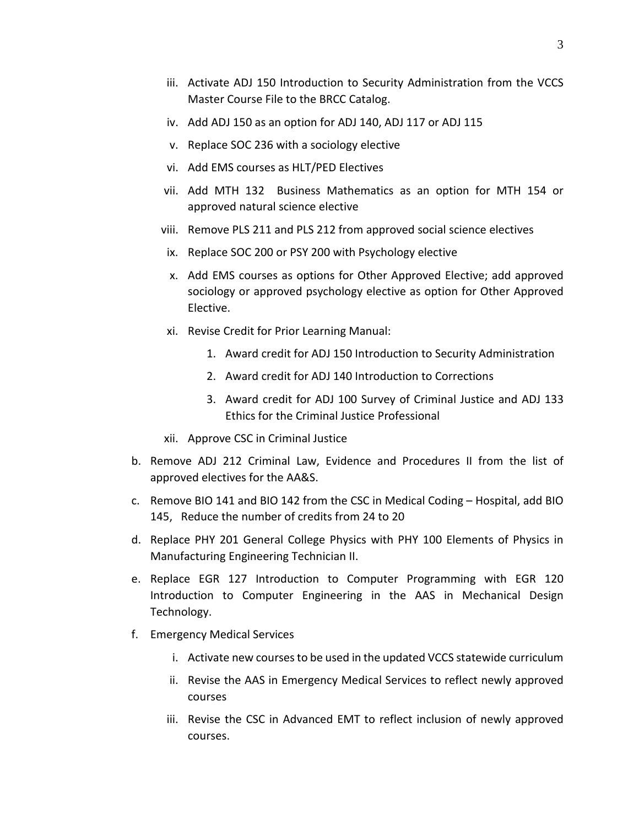- iii. Activate ADJ 150 Introduction to Security Administration from the VCCS Master Course File to the BRCC Catalog.
- iv. Add ADJ 150 as an option for ADJ 140, ADJ 117 or ADJ 115
- v. Replace SOC 236 with a sociology elective
- vi. Add EMS courses as HLT/PED Electives
- vii. Add MTH 132 Business Mathematics as an option for MTH 154 or approved natural science elective
- viii. Remove PLS 211 and PLS 212 from approved social science electives
- ix. Replace SOC 200 or PSY 200 with Psychology elective
- x. Add EMS courses as options for Other Approved Elective; add approved sociology or approved psychology elective as option for Other Approved Elective.
- xi. Revise Credit for Prior Learning Manual:
	- 1. Award credit for ADJ 150 Introduction to Security Administration
	- 2. Award credit for ADJ 140 Introduction to Corrections
	- 3. Award credit for ADJ 100 Survey of Criminal Justice and ADJ 133 Ethics for the Criminal Justice Professional
- xii. Approve CSC in Criminal Justice
- b. Remove ADJ 212 Criminal Law, Evidence and Procedures II from the list of approved electives for the AA&S.
- c. Remove BIO 141 and BIO 142 from the CSC in Medical Coding Hospital, add BIO 145, Reduce the number of credits from 24 to 20
- d. Replace PHY 201 General College Physics with PHY 100 Elements of Physics in Manufacturing Engineering Technician II.
- e. Replace EGR 127 Introduction to Computer Programming with EGR 120 Introduction to Computer Engineering in the AAS in Mechanical Design Technology.
- f. Emergency Medical Services
	- i. Activate new courses to be used in the updated VCCS statewide curriculum
	- ii. Revise the AAS in Emergency Medical Services to reflect newly approved courses
	- iii. Revise the CSC in Advanced EMT to reflect inclusion of newly approved courses.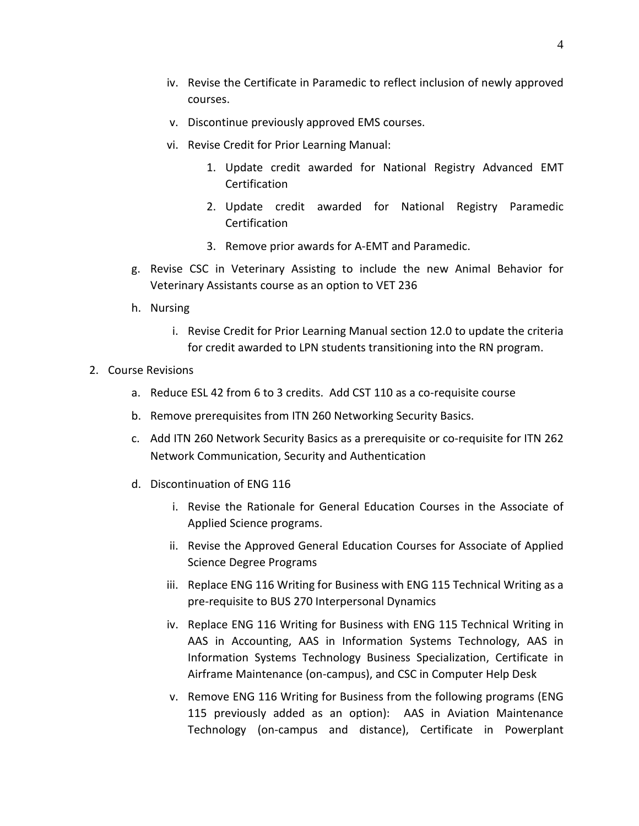- iv. Revise the Certificate in Paramedic to reflect inclusion of newly approved courses.
- v. Discontinue previously approved EMS courses.
- vi. Revise Credit for Prior Learning Manual:
	- 1. Update credit awarded for National Registry Advanced EMT **Certification**
	- 2. Update credit awarded for National Registry Paramedic **Certification**
	- 3. Remove prior awards for A-EMT and Paramedic.
- g. Revise CSC in Veterinary Assisting to include the new Animal Behavior for Veterinary Assistants course as an option to VET 236
- h. Nursing
	- i. Revise Credit for Prior Learning Manual section 12.0 to update the criteria for credit awarded to LPN students transitioning into the RN program.
- 2. Course Revisions
	- a. Reduce ESL 42 from 6 to 3 credits. Add CST 110 as a co-requisite course
	- b. Remove prerequisites from ITN 260 Networking Security Basics.
	- c. Add ITN 260 Network Security Basics as a prerequisite or co-requisite for ITN 262 Network Communication, Security and Authentication
	- d. Discontinuation of ENG 116
		- i. Revise the Rationale for General Education Courses in the Associate of Applied Science programs.
		- ii. Revise the Approved General Education Courses for Associate of Applied Science Degree Programs
		- iii. Replace ENG 116 Writing for Business with ENG 115 Technical Writing as a pre-requisite to BUS 270 Interpersonal Dynamics
		- iv. Replace ENG 116 Writing for Business with ENG 115 Technical Writing in AAS in Accounting, AAS in Information Systems Technology, AAS in Information Systems Technology Business Specialization, Certificate in Airframe Maintenance (on-campus), and CSC in Computer Help Desk
		- v. Remove ENG 116 Writing for Business from the following programs (ENG 115 previously added as an option): AAS in Aviation Maintenance Technology (on-campus and distance), Certificate in Powerplant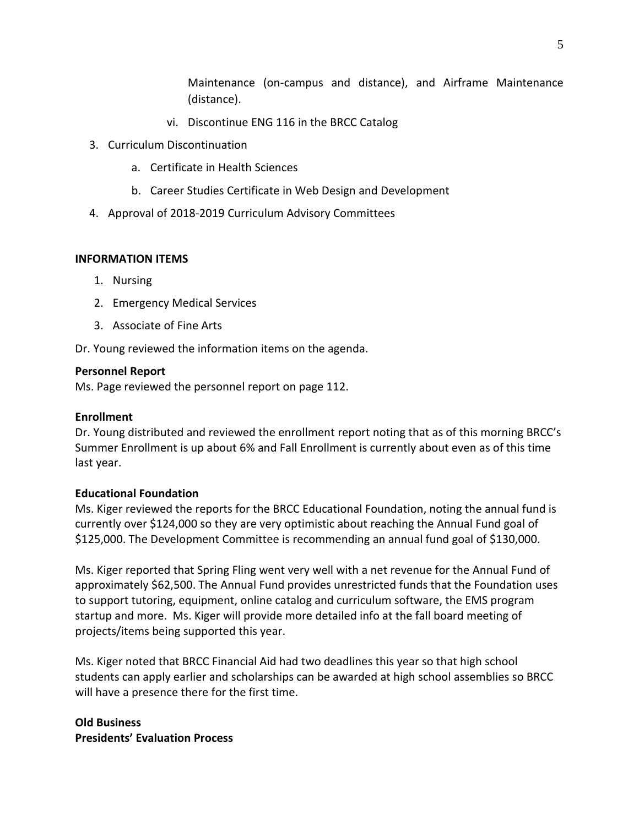Maintenance (on-campus and distance), and Airframe Maintenance (distance).

- vi. Discontinue ENG 116 in the BRCC Catalog
- 3. Curriculum Discontinuation
	- a. Certificate in Health Sciences
	- b. Career Studies Certificate in Web Design and Development
- 4. Approval of 2018-2019 Curriculum Advisory Committees

### **INFORMATION ITEMS**

- 1. Nursing
- 2. Emergency Medical Services
- 3. Associate of Fine Arts

Dr. Young reviewed the information items on the agenda.

### **Personnel Report**

Ms. Page reviewed the personnel report on page 112.

### **Enrollment**

Dr. Young distributed and reviewed the enrollment report noting that as of this morning BRCC's Summer Enrollment is up about 6% and Fall Enrollment is currently about even as of this time last year.

### **Educational Foundation**

Ms. Kiger reviewed the reports for the BRCC Educational Foundation, noting the annual fund is currently over \$124,000 so they are very optimistic about reaching the Annual Fund goal of \$125,000. The Development Committee is recommending an annual fund goal of \$130,000.

Ms. Kiger reported that Spring Fling went very well with a net revenue for the Annual Fund of approximately \$62,500. The Annual Fund provides unrestricted funds that the Foundation uses to support tutoring, equipment, online catalog and curriculum software, the EMS program startup and more. Ms. Kiger will provide more detailed info at the fall board meeting of projects/items being supported this year.

Ms. Kiger noted that BRCC Financial Aid had two deadlines this year so that high school students can apply earlier and scholarships can be awarded at high school assemblies so BRCC will have a presence there for the first time.

## **Old Business Presidents' Evaluation Process**